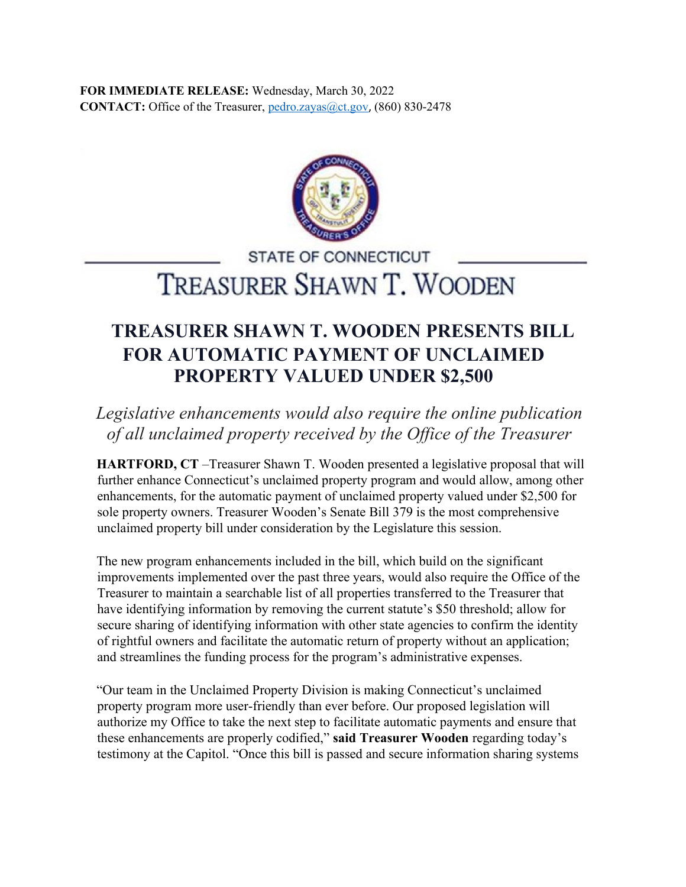**FOR IMMEDIATE RELEASE:** Wednesday, March 30, 2022 **CONTACT:** Office of the Treasurer, pedro.zayas@ct.gov, (860) 830-2478



**STATE OF CONNECTICUT** 

TREASURER SHAWN T. WOODEN

## **TREASURER SHAWN T. WOODEN PRESENTS BILL FOR AUTOMATIC PAYMENT OF UNCLAIMED PROPERTY VALUED UNDER \$2,500**

*Legislative enhancements would also require the online publication of all unclaimed property received by the Office of the Treasurer*

**HARTFORD, CT** –Treasurer Shawn T. Wooden presented a legislative proposal that will further enhance Connecticut's unclaimed property program and would allow, among other enhancements, for the automatic payment of unclaimed property valued under \$2,500 for sole property owners. Treasurer Wooden's Senate Bill 379 is the most comprehensive unclaimed property bill under consideration by the Legislature this session.

The new program enhancements included in the bill, which build on the significant improvements implemented over the past three years, would also require the Office of the Treasurer to maintain a searchable list of all properties transferred to the Treasurer that have identifying information by removing the current statute's \$50 threshold; allow for secure sharing of identifying information with other state agencies to confirm the identity of rightful owners and facilitate the automatic return of property without an application; and streamlines the funding process for the program's administrative expenses.

"Our team in the Unclaimed Property Division is making Connecticut's unclaimed property program more user-friendly than ever before. Our proposed legislation will authorize my Office to take the next step to facilitate automatic payments and ensure that these enhancements are properly codified," **said Treasurer Wooden** regarding today's testimony at the Capitol. "Once this bill is passed and secure information sharing systems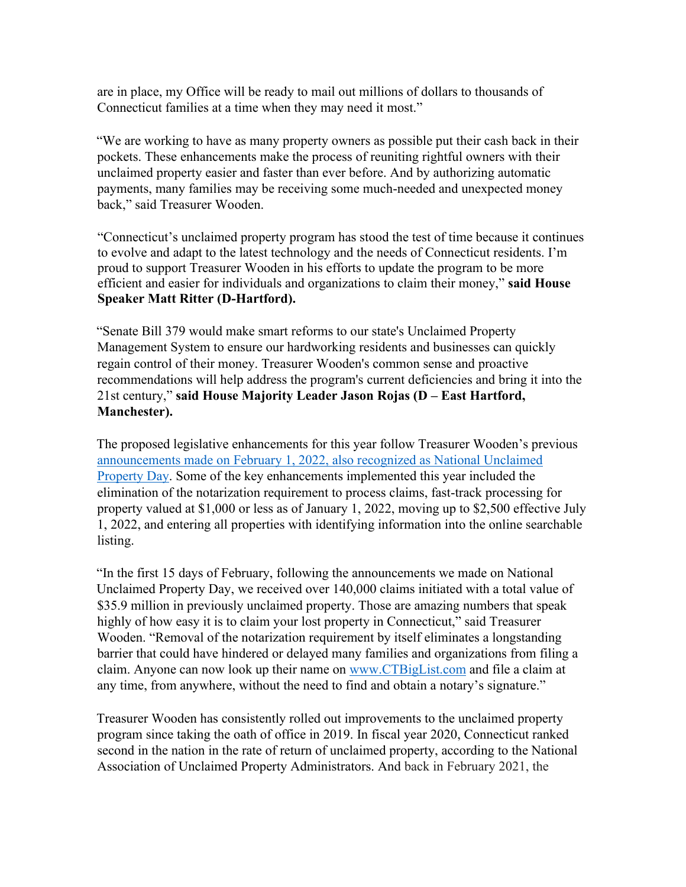are in place, my Office will be ready to mail out millions of dollars to thousands of Connecticut families at a time when they may need it most."

"We are working to have as many property owners as possible put their cash back in their pockets. These enhancements make the process of reuniting rightful owners with their unclaimed property easier and faster than ever before. And by authorizing automatic payments, many families may be receiving some much-needed and unexpected money back," said Treasurer Wooden.

"Connecticut's unclaimed property program has stood the test of time because it continues to evolve and adapt to the latest technology and the needs of Connecticut residents. I'm proud to support Treasurer Wooden in his efforts to update the program to be more efficient and easier for individuals and organizations to claim their money," **said House Speaker Matt Ritter (D-Hartford).**

"Senate Bill 379 would make smart reforms to our state's Unclaimed Property Management System to ensure our hardworking residents and businesses can quickly regain control of their money. Treasurer Wooden's common sense and proactive recommendations will help address the program's current deficiencies and bring it into the 21st century," **said House Majority Leader Jason Rojas (D – East Hartford, Manchester).**

The proposed legislative enhancements for this year follow Treasurer Wooden's previous [announcements made on February 1, 2022, also recognized as National Unclaimed](https://portal.ct.gov/-/media/OTT/Press-Room/Press-Releases/2022/PR020122rev0207Wooden-Major-CT-Enhancements-To-Unclaimed-Property-System-On-National-Unclaimed-Prope.pdf) [Property Day.](https://portal.ct.gov/-/media/OTT/Press-Room/Press-Releases/2022/PR020122rev0207Wooden-Major-CT-Enhancements-To-Unclaimed-Property-System-On-National-Unclaimed-Prope.pdf) Some of the key enhancements implemented this year included the elimination of the notarization requirement to process claims, fast-track processing for property valued at \$1,000 or less as of January 1, 2022, moving up to \$2,500 effective July 1, 2022, and entering all properties with identifying information into the online searchable listing.

"In the first 15 days of February, following the announcements we made on National Unclaimed Property Day, we received over 140,000 claims initiated with a total value of \$35.9 million in previously unclaimed property. Those are amazing numbers that speak highly of how easy it is to claim your lost property in Connecticut," said Treasurer Wooden. "Removal of the notarization requirement by itself eliminates a longstanding barrier that could have hindered or delayed many families and organizations from filing a claim. Anyone can now look up their name on [www.CTBigList.com](https://www.ctbiglist.com/) and file a claim at any time, from anywhere, without the need to find and obtain a notary's signature."

Treasurer Wooden has consistently rolled out improvements to the unclaimed property program since taking the oath of office in 2019. In fiscal year 2020, Connecticut ranked second in the nation in the rate of return of unclaimed property, according to the National Association of Unclaimed Property Administrators. And back in February 2021, the